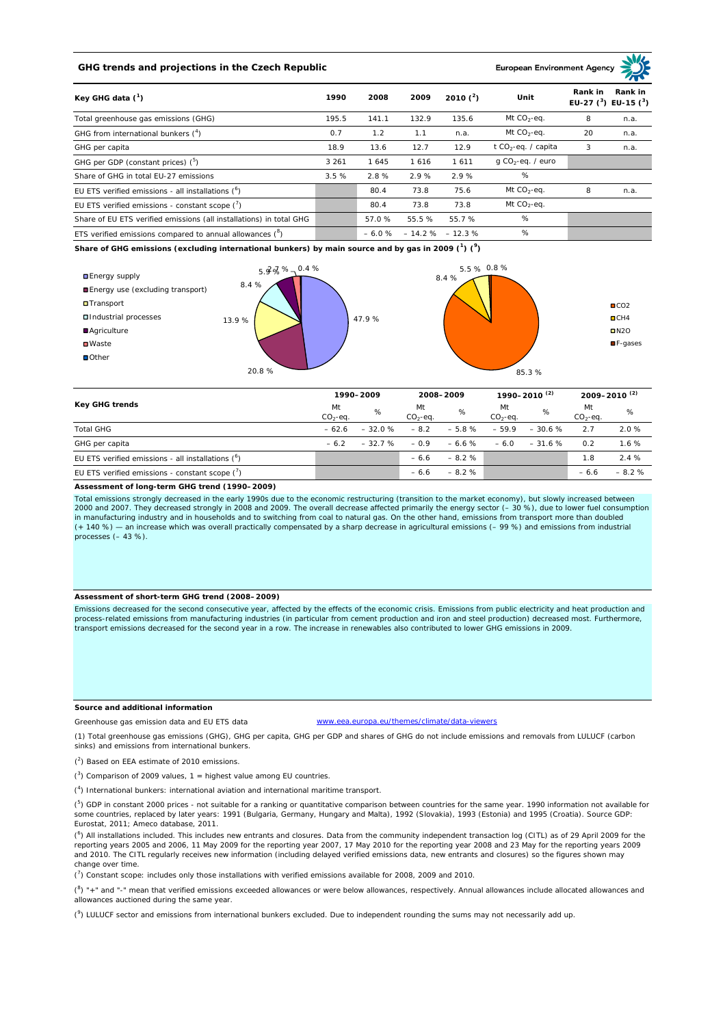# **GHG trends and projections in the Czech Republic**

#### **European Environment Ag**

| Key GHG data $(^1)$                                                 | 1990<br>2008 |         | 2009   | 2010 $(^{2})$     | Unit                            | Rank in<br>Rank in<br>EU-27 $(^3)$ EU-15 $(^3)$ |      |
|---------------------------------------------------------------------|--------------|---------|--------|-------------------|---------------------------------|-------------------------------------------------|------|
| Total greenhouse gas emissions (GHG)                                | 195.5        | 141.1   | 132.9  | 135.6             | Mt $CO_2$ -eq.                  | 8                                               | n.a. |
| GHG from international bunkers $(^4)$                               | 0.7          | 1.2     | 1.1    | n.a.              | Mt $CO_2$ -eq.                  | 20                                              | n.a. |
| GHG per capita                                                      | 18.9         | 13.6    | 12.7   | 12.9              | t CO <sub>2</sub> -eq. / capita | 3                                               | n.a. |
| GHG per GDP (constant prices) $(^5)$                                | 3 2 6 1      | 1 645   | 1616   | 1611              | $q$ CO <sub>2</sub> -eq. / euro |                                                 |      |
| Share of GHG in total EU-27 emissions                               | 3.5%         | 2.8%    | 2.9%   | 2.9%              | $\%$                            |                                                 |      |
| EU ETS verified emissions - all installations $(^6)$                |              | 80.4    | 73.8   | 75.6              | Mt $CO_2$ -eq.                  | 8                                               | n.a. |
| EU ETS verified emissions - constant scope $(7)$                    |              | 80.4    | 73.8   | 73.8              | Mt $CO_2$ -eq.                  |                                                 |      |
| Share of EU ETS verified emissions (all installations) in total GHG |              | 57.0 %  | 55.5 % | 55.7%             | %                               |                                                 |      |
| ETS verified emissions compared to annual allowances $(^8)$         |              | $-6.0%$ |        | $-14.2\% -12.3\%$ | %                               |                                                 |      |

**Share of GHG emissions (excluding international bunkers) by main source and by gas in 2009 (<sup>1</sup> ) (<sup>9</sup> )**



| <b>Key GHG trends</b>                                |                 | 1990-2009 |                 | 2008-2009 |                 | 1990-2010 <sup>(2)</sup> |                 | 2009-2010 <sup>(2)</sup> |  |
|------------------------------------------------------|-----------------|-----------|-----------------|-----------|-----------------|--------------------------|-----------------|--------------------------|--|
|                                                      | Mt<br>$CO2-eq.$ | %         | Mt<br>$CO2-eq.$ | %         | Mt<br>$CO2-eq.$ | %                        | Mt<br>$CO2-eq.$ | %                        |  |
| <b>Total GHG</b>                                     | $-62.6$         | $-32.0%$  | $-8.2$          | $-5.8%$   | $-59.9$         | $-30.6%$                 | 2.7             | 2.0%                     |  |
| GHG per capita                                       | $-6.2$          | $-32.7%$  | $-0.9$          | $-6.6%$   | $-6.0$          | $-31.6%$                 | 0.2             | 1.6%                     |  |
| EU ETS verified emissions - all installations $(^6)$ |                 |           | $-6.6$          | $-8.2%$   |                 |                          | 1.8             | 2.4%                     |  |
| EU ETS verified emissions - constant scope $(7)$     |                 |           | $-6.6$          | $-8.2%$   |                 |                          | $-6.6$          | $-8.2%$                  |  |

#### **Assessment of long-term GHG trend (1990–2009)**

Total emissions strongly decreased in the early 1990s due to the economic restructuring (transition to the market economy), but slowly increased between 2000 and 2007. They decreased strongly in 2008 and 2009. The overall decrease affected primarily the energy sector (– 30 %), due to lower fuel consumption in manufacturing industry and in households and to switching from coal to natural gas. On the other hand, emissions from transport more than doubled<br>(+ 140 %) — an increase which was overall practically compensated by a sh processes  $(-43 \%)$ .

## **Assessment of short-term GHG trend (2008–2009)**

Emissions decreased for the second consecutive year, affected by the effects of the economic crisis. Emissions from public electricity and heat production and process-related emissions from manufacturing industries (in particular from cement production and iron and steel production) decreased most. Furthermore, transport emissions decreased for the second year in a row. The increase in renewables also contributed to lower GHG emissions in 2009.

## **Source and additional information**

www.eea.europa.eu/themes/climate/data-viewers

(1) Total greenhouse gas emissions (GHG), GHG per capita, GHG per GDP and shares of GHG do not include emissions and removals from LULUCF (carbon sinks) and emissions from international bunkers.

( 2 ) Based on EEA estimate of 2010 emissions.

Greenhouse gas emission data and EU ETS data

 $(3)$  Comparison of 2009 values, 1 = highest value among EU countries.

( 4 ) International bunkers: international aviation and international maritime transport.

 $(^{5})$  GDP in constant 2000 prices - not suitable for a ranking or quantitative comparison between countries for the same year. 1990 information not available for some countries, replaced by later years: 1991 (Bulgaria, Germany, Hungary and Malta), 1992 (Slovakia), 1993 (Estonia) and 1995 (Croatia). Source GDP: Eurostat, 2011; Ameco database, 2011.

(<sup>6</sup>) All installations included. This includes new entrants and closures. Data from the community independent transaction log (CITL) as of 29 April 2009 for the<br>reporting years 2005 and 2006, 11 May 2009 for the reporting and 2010. The CITL regularly receives new information (including delayed verified emissions data, new entrants and closures) so the figures shown may change over time.

 $\binom{7}{1}$  Constant scope: includes only those installations with verified emissions available for 2008, 2009 and 2010.

 $(^{8}$ ) " $+$ " and "-" mean that verified emissions exceeded allowances or were below allowances, respectively. Annual allowances include allocated allowances and allowances auctioned during the same year.

 $(2)$  LULUCF sector and emissions from international bunkers excluded. Due to independent rounding the sums may not necessarily add up.